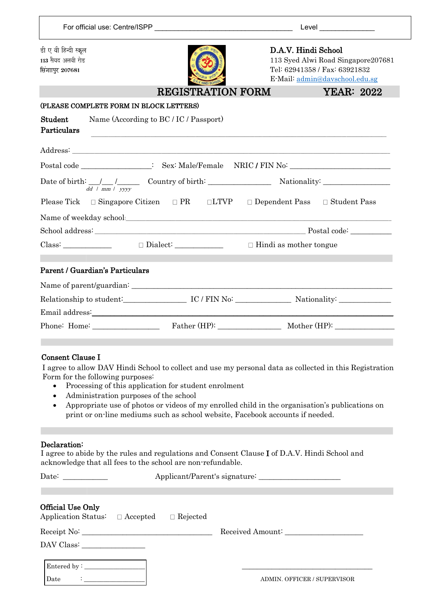| डी ए वी हिन्दी स्कूल<br>D.A.V. Hindi School<br>113 सैयद अलवी रोड<br>113 Syed Alwi Road Singapore207681<br>Tel: 62941358 / Fax: 63921832<br>सिंगाएर 207681<br>E-Mail: admin@davschool.edu.sg<br><b>REGISTRATION FORM</b><br>(PLEASE COMPLETE FORM IN BLOCK LETTERS)<br>Name (According to BC / IC / Passport)<br>Student<br>Particulars<br>Postal code _________________: Sex: Male/Female NRIC / FIN No: __________________<br>$dd / mm / \sqrt{yyyy}$<br>Please Tick $\Box$ Singapore Citizen $\Box$ PR $\Box$ LTVP $\Box$ Dependent Pass $\Box$ Student Pass<br>Name of weekday school: and a set of weekday school:<br>$\text{Class:}\n\begin{array}{c}\n\Box \text{Dialect:}\n\end{array}$<br>$\Box$ Hindi as mother tongue<br>Parent / Guardian's Particulars<br>Email address: Note and the set of the set of the set of the set of the set of the set of the set of the set of the set of the set of the set of the set of the set of the set of the set of the set of the set of the set of<br><b>Consent Clause I</b><br>I agree to allow DAV Hindi School to collect and use my personal data as collected in this Registration<br>Form for the following purposes:<br>Processing of this application for student enrolment<br>$\bullet$<br>Administration purposes of the school<br>$\bullet$<br>Appropriate use of photos or videos of my enrolled child in the organisation's publications on<br>$\bullet$<br>print or on-line mediums such as school website, Facebook accounts if needed.<br>Declaration:<br>I agree to abide by the rules and regulations and Consent Clause I of D.A.V. Hindi School and<br>acknowledge that all fees to the school are non-refundable.<br>Date: $\qquad \qquad$<br>Official Use Only<br>Application Status:<br>$\Box$ Accepted<br>$\Box$ Rejected<br>Received Amount:<br>$\begin{tabular}{c} \bf{DAV Class:} \end{tabular}$ |  |  |  | Level ________________ |
|-------------------------------------------------------------------------------------------------------------------------------------------------------------------------------------------------------------------------------------------------------------------------------------------------------------------------------------------------------------------------------------------------------------------------------------------------------------------------------------------------------------------------------------------------------------------------------------------------------------------------------------------------------------------------------------------------------------------------------------------------------------------------------------------------------------------------------------------------------------------------------------------------------------------------------------------------------------------------------------------------------------------------------------------------------------------------------------------------------------------------------------------------------------------------------------------------------------------------------------------------------------------------------------------------------------------------------------------------------------------------------------------------------------------------------------------------------------------------------------------------------------------------------------------------------------------------------------------------------------------------------------------------------------------------------------------------------------------------------------------------------------------------------------------------------------------------------------------------------------------------------|--|--|--|------------------------|
|                                                                                                                                                                                                                                                                                                                                                                                                                                                                                                                                                                                                                                                                                                                                                                                                                                                                                                                                                                                                                                                                                                                                                                                                                                                                                                                                                                                                                                                                                                                                                                                                                                                                                                                                                                                                                                                                               |  |  |  |                        |
|                                                                                                                                                                                                                                                                                                                                                                                                                                                                                                                                                                                                                                                                                                                                                                                                                                                                                                                                                                                                                                                                                                                                                                                                                                                                                                                                                                                                                                                                                                                                                                                                                                                                                                                                                                                                                                                                               |  |  |  | <b>YEAR: 2022</b>      |
|                                                                                                                                                                                                                                                                                                                                                                                                                                                                                                                                                                                                                                                                                                                                                                                                                                                                                                                                                                                                                                                                                                                                                                                                                                                                                                                                                                                                                                                                                                                                                                                                                                                                                                                                                                                                                                                                               |  |  |  |                        |
|                                                                                                                                                                                                                                                                                                                                                                                                                                                                                                                                                                                                                                                                                                                                                                                                                                                                                                                                                                                                                                                                                                                                                                                                                                                                                                                                                                                                                                                                                                                                                                                                                                                                                                                                                                                                                                                                               |  |  |  |                        |
|                                                                                                                                                                                                                                                                                                                                                                                                                                                                                                                                                                                                                                                                                                                                                                                                                                                                                                                                                                                                                                                                                                                                                                                                                                                                                                                                                                                                                                                                                                                                                                                                                                                                                                                                                                                                                                                                               |  |  |  |                        |
|                                                                                                                                                                                                                                                                                                                                                                                                                                                                                                                                                                                                                                                                                                                                                                                                                                                                                                                                                                                                                                                                                                                                                                                                                                                                                                                                                                                                                                                                                                                                                                                                                                                                                                                                                                                                                                                                               |  |  |  |                        |
|                                                                                                                                                                                                                                                                                                                                                                                                                                                                                                                                                                                                                                                                                                                                                                                                                                                                                                                                                                                                                                                                                                                                                                                                                                                                                                                                                                                                                                                                                                                                                                                                                                                                                                                                                                                                                                                                               |  |  |  |                        |
|                                                                                                                                                                                                                                                                                                                                                                                                                                                                                                                                                                                                                                                                                                                                                                                                                                                                                                                                                                                                                                                                                                                                                                                                                                                                                                                                                                                                                                                                                                                                                                                                                                                                                                                                                                                                                                                                               |  |  |  |                        |
|                                                                                                                                                                                                                                                                                                                                                                                                                                                                                                                                                                                                                                                                                                                                                                                                                                                                                                                                                                                                                                                                                                                                                                                                                                                                                                                                                                                                                                                                                                                                                                                                                                                                                                                                                                                                                                                                               |  |  |  |                        |
|                                                                                                                                                                                                                                                                                                                                                                                                                                                                                                                                                                                                                                                                                                                                                                                                                                                                                                                                                                                                                                                                                                                                                                                                                                                                                                                                                                                                                                                                                                                                                                                                                                                                                                                                                                                                                                                                               |  |  |  |                        |
|                                                                                                                                                                                                                                                                                                                                                                                                                                                                                                                                                                                                                                                                                                                                                                                                                                                                                                                                                                                                                                                                                                                                                                                                                                                                                                                                                                                                                                                                                                                                                                                                                                                                                                                                                                                                                                                                               |  |  |  |                        |
|                                                                                                                                                                                                                                                                                                                                                                                                                                                                                                                                                                                                                                                                                                                                                                                                                                                                                                                                                                                                                                                                                                                                                                                                                                                                                                                                                                                                                                                                                                                                                                                                                                                                                                                                                                                                                                                                               |  |  |  |                        |
|                                                                                                                                                                                                                                                                                                                                                                                                                                                                                                                                                                                                                                                                                                                                                                                                                                                                                                                                                                                                                                                                                                                                                                                                                                                                                                                                                                                                                                                                                                                                                                                                                                                                                                                                                                                                                                                                               |  |  |  |                        |
|                                                                                                                                                                                                                                                                                                                                                                                                                                                                                                                                                                                                                                                                                                                                                                                                                                                                                                                                                                                                                                                                                                                                                                                                                                                                                                                                                                                                                                                                                                                                                                                                                                                                                                                                                                                                                                                                               |  |  |  |                        |
|                                                                                                                                                                                                                                                                                                                                                                                                                                                                                                                                                                                                                                                                                                                                                                                                                                                                                                                                                                                                                                                                                                                                                                                                                                                                                                                                                                                                                                                                                                                                                                                                                                                                                                                                                                                                                                                                               |  |  |  |                        |
|                                                                                                                                                                                                                                                                                                                                                                                                                                                                                                                                                                                                                                                                                                                                                                                                                                                                                                                                                                                                                                                                                                                                                                                                                                                                                                                                                                                                                                                                                                                                                                                                                                                                                                                                                                                                                                                                               |  |  |  |                        |
|                                                                                                                                                                                                                                                                                                                                                                                                                                                                                                                                                                                                                                                                                                                                                                                                                                                                                                                                                                                                                                                                                                                                                                                                                                                                                                                                                                                                                                                                                                                                                                                                                                                                                                                                                                                                                                                                               |  |  |  |                        |
|                                                                                                                                                                                                                                                                                                                                                                                                                                                                                                                                                                                                                                                                                                                                                                                                                                                                                                                                                                                                                                                                                                                                                                                                                                                                                                                                                                                                                                                                                                                                                                                                                                                                                                                                                                                                                                                                               |  |  |  |                        |
|                                                                                                                                                                                                                                                                                                                                                                                                                                                                                                                                                                                                                                                                                                                                                                                                                                                                                                                                                                                                                                                                                                                                                                                                                                                                                                                                                                                                                                                                                                                                                                                                                                                                                                                                                                                                                                                                               |  |  |  |                        |

| Entered by - |                             |
|--------------|-----------------------------|
| Date         | ADMIN. OFFICER / SUPERVISOR |